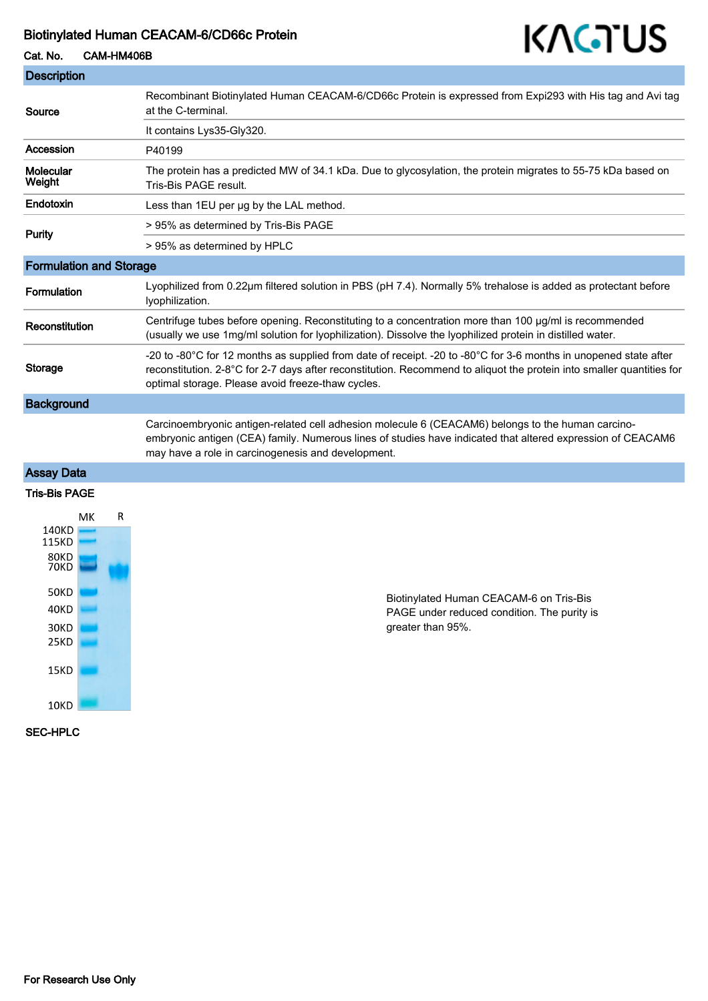#### Biotinylated Human CEACAM-6/CD66c Protein

# KAGTUS

| Cat. No.                       | CAM-HM406B | 11 I ST J ST                                                                                                                                                                                                                                                                                   |
|--------------------------------|------------|------------------------------------------------------------------------------------------------------------------------------------------------------------------------------------------------------------------------------------------------------------------------------------------------|
| <b>Description</b>             |            |                                                                                                                                                                                                                                                                                                |
| Source                         |            | Recombinant Biotinylated Human CEACAM-6/CD66c Protein is expressed from Expi293 with His tag and Avi tag<br>at the C-terminal.                                                                                                                                                                 |
|                                |            | It contains Lys35-Gly320.                                                                                                                                                                                                                                                                      |
| Accession                      |            | P40199                                                                                                                                                                                                                                                                                         |
| Molecular<br>Weight            |            | The protein has a predicted MW of 34.1 kDa. Due to glycosylation, the protein migrates to 55-75 kDa based on<br>Tris-Bis PAGE result.                                                                                                                                                          |
| Endotoxin                      |            | Less than 1EU per ug by the LAL method.                                                                                                                                                                                                                                                        |
| <b>Purity</b>                  |            | > 95% as determined by Tris-Bis PAGE                                                                                                                                                                                                                                                           |
|                                |            | > 95% as determined by HPLC                                                                                                                                                                                                                                                                    |
| <b>Formulation and Storage</b> |            |                                                                                                                                                                                                                                                                                                |
| Formulation                    |            | Lyophilized from 0.22µm filtered solution in PBS (pH 7.4). Normally 5% trehalose is added as protectant before<br>lyophilization.                                                                                                                                                              |
| Reconstitution                 |            | Centrifuge tubes before opening. Reconstituting to a concentration more than 100 µg/ml is recommended<br>(usually we use 1mg/ml solution for lyophilization). Dissolve the lyophilized protein in distilled water.                                                                             |
| Storage                        |            | -20 to -80°C for 12 months as supplied from date of receipt. -20 to -80°C for 3-6 months in unopened state after<br>reconstitution. 2-8°C for 2-7 days after reconstitution. Recommend to aliquot the protein into smaller quantities for<br>optimal storage. Please avoid freeze-thaw cycles. |
| <b>Background</b>              |            |                                                                                                                                                                                                                                                                                                |
|                                |            | Carcinoembryonic antigen-related cell adhesion molecule 6 (CEACAM6) belongs to the human carcino-<br>embryonic antigen (CEA) family. Numerous lines of studies have indicated that altered expression of CEACAM6<br>may have a role in carcinogenesis and development.                         |
| <b>Assay Data</b>              |            |                                                                                                                                                                                                                                                                                                |

### Tris-Bis PAGE



Biotinylated Human CEACAM-6 on Tris-Bis PAGE under reduced condition. The purity is greater than 95%.

#### SEC-HPLC